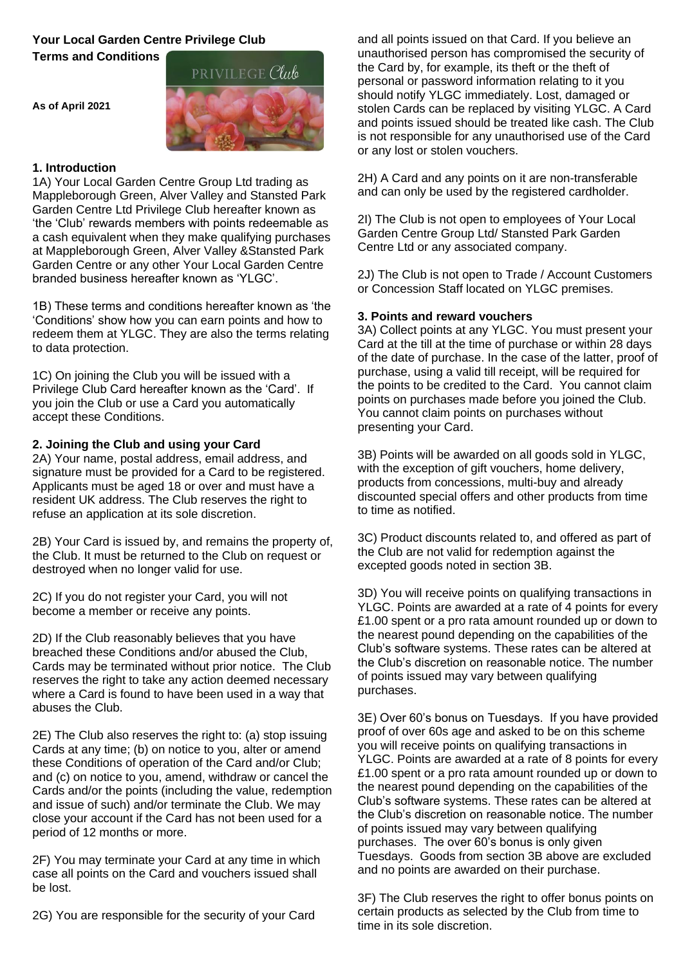# **Your Local Garden Centre Privilege Club**

**Terms and Conditions**

**As of April 2021**



## **1. Introduction**

1A) Your Local Garden Centre Group Ltd trading as Mappleborough Green, Alver Valley and Stansted Park Garden Centre Ltd Privilege Club hereafter known as 'the 'Club' rewards members with points redeemable as a cash equivalent when they make qualifying purchases at Mappleborough Green, Alver Valley &Stansted Park Garden Centre or any other Your Local Garden Centre branded business hereafter known as 'YLGC'.

1B) These terms and conditions hereafter known as 'the 'Conditions' show how you can earn points and how to redeem them at YLGC. They are also the terms relating to data protection.

1C) On joining the Club you will be issued with a Privilege Club Card hereafter known as the 'Card'. If you join the Club or use a Card you automatically accept these Conditions.

### **2. Joining the Club and using your Card**

2A) Your name, postal address, email address, and signature must be provided for a Card to be registered. Applicants must be aged 18 or over and must have a resident UK address. The Club reserves the right to refuse an application at its sole discretion.

2B) Your Card is issued by, and remains the property of, the Club. It must be returned to the Club on request or destroyed when no longer valid for use.

2C) If you do not register your Card, you will not become a member or receive any points.

2D) If the Club reasonably believes that you have breached these Conditions and/or abused the Club, Cards may be terminated without prior notice. The Club reserves the right to take any action deemed necessary where a Card is found to have been used in a way that abuses the Club.

2E) The Club also reserves the right to: (a) stop issuing Cards at any time; (b) on notice to you, alter or amend these Conditions of operation of the Card and/or Club; and (c) on notice to you, amend, withdraw or cancel the Cards and/or the points (including the value, redemption and issue of such) and/or terminate the Club. We may close your account if the Card has not been used for a period of 12 months or more.

2F) You may terminate your Card at any time in which case all points on the Card and vouchers issued shall be lost.

2G) You are responsible for the security of your Card

and all points issued on that Card. If you believe an unauthorised person has compromised the security of the Card by, for example, its theft or the theft of personal or password information relating to it you should notify YLGC immediately. Lost, damaged or stolen Cards can be replaced by visiting YLGC. A Card and points issued should be treated like cash. The Club is not responsible for any unauthorised use of the Card or any lost or stolen vouchers.

2H) A Card and any points on it are non-transferable and can only be used by the registered cardholder.

2I) The Club is not open to employees of Your Local Garden Centre Group Ltd/ Stansted Park Garden Centre Ltd or any associated company.

2J) The Club is not open to Trade / Account Customers or Concession Staff located on YLGC premises.

#### **3. Points and reward vouchers**

3A) Collect points at any YLGC. You must present your Card at the till at the time of purchase or within 28 days of the date of purchase. In the case of the latter, proof of purchase, using a valid till receipt, will be required for the points to be credited to the Card. You cannot claim points on purchases made before you joined the Club. You cannot claim points on purchases without presenting your Card.

3B) Points will be awarded on all goods sold in YLGC, with the exception of gift vouchers, home delivery, products from concessions, multi-buy and already discounted special offers and other products from time to time as notified.

3C) Product discounts related to, and offered as part of the Club are not valid for redemption against the excepted goods noted in section 3B.

3D) You will receive points on qualifying transactions in YLGC. Points are awarded at a rate of 4 points for every £1.00 spent or a pro rata amount rounded up or down to the nearest pound depending on the capabilities of the Club's software systems. These rates can be altered at the Club's discretion on reasonable notice. The number of points issued may vary between qualifying purchases.

3E) Over 60's bonus on Tuesdays. If you have provided proof of over 60s age and asked to be on this scheme you will receive points on qualifying transactions in YLGC. Points are awarded at a rate of 8 points for every £1.00 spent or a pro rata amount rounded up or down to the nearest pound depending on the capabilities of the Club's software systems. These rates can be altered at the Club's discretion on reasonable notice. The number of points issued may vary between qualifying purchases. The over 60's bonus is only given Tuesdays. Goods from section 3B above are excluded and no points are awarded on their purchase.

3F) The Club reserves the right to offer bonus points on certain products as selected by the Club from time to time in its sole discretion.